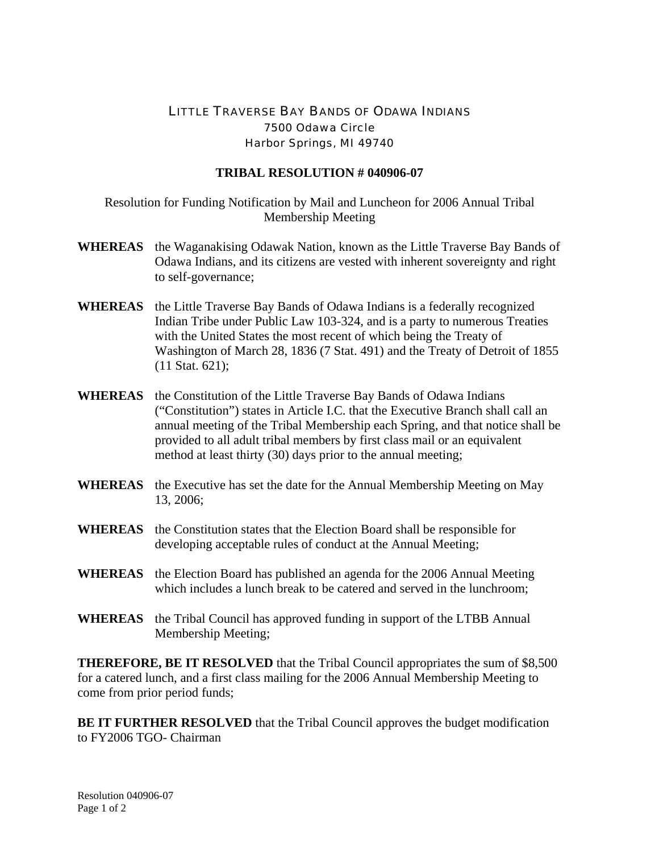## LITTLE TRAVERSE BAY BANDS OF ODAWA INDIANS 7500 Odawa Circle Harbor Springs, MI 49740

## **TRIBAL RESOLUTION # 040906-07**

Resolution for Funding Notification by Mail and Luncheon for 2006 Annual Tribal Membership Meeting

- **WHEREAS** the Waganakising Odawak Nation, known as the Little Traverse Bay Bands of Odawa Indians, and its citizens are vested with inherent sovereignty and right to self-governance;
- **WHEREAS** the Little Traverse Bay Bands of Odawa Indians is a federally recognized Indian Tribe under Public Law 103-324, and is a party to numerous Treaties with the United States the most recent of which being the Treaty of Washington of March 28, 1836 (7 Stat. 491) and the Treaty of Detroit of 1855 (11 Stat. 621);
- **WHEREAS** the Constitution of the Little Traverse Bay Bands of Odawa Indians ("Constitution") states in Article I.C. that the Executive Branch shall call an annual meeting of the Tribal Membership each Spring, and that notice shall be provided to all adult tribal members by first class mail or an equivalent method at least thirty (30) days prior to the annual meeting;
- **WHEREAS** the Executive has set the date for the Annual Membership Meeting on May 13, 2006;
- **WHEREAS** the Constitution states that the Election Board shall be responsible for developing acceptable rules of conduct at the Annual Meeting;
- **WHEREAS** the Election Board has published an agenda for the 2006 Annual Meeting which includes a lunch break to be catered and served in the lunchroom:
- **WHEREAS** the Tribal Council has approved funding in support of the LTBB Annual Membership Meeting;

**THEREFORE, BE IT RESOLVED** that the Tribal Council appropriates the sum of \$8,500 for a catered lunch, and a first class mailing for the 2006 Annual Membership Meeting to come from prior period funds;

**BE IT FURTHER RESOLVED** that the Tribal Council approves the budget modification to FY2006 TGO- Chairman